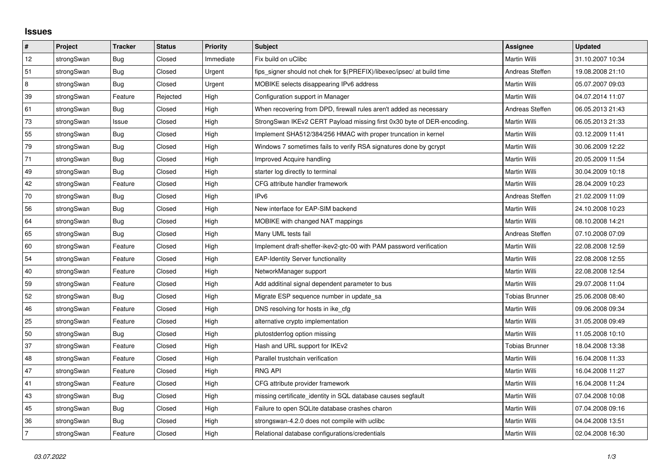## **Issues**

| $\pmb{\sharp}$ | Project    | <b>Tracker</b> | <b>Status</b> | <b>Priority</b> | <b>Subject</b>                                                          | <b>Assignee</b>       | <b>Updated</b>   |
|----------------|------------|----------------|---------------|-----------------|-------------------------------------------------------------------------|-----------------------|------------------|
| 12             | strongSwan | Bug            | Closed        | Immediate       | Fix build on uClibc                                                     | Martin Willi          | 31.10.2007 10:34 |
| 51             | strongSwan | Bug            | Closed        | Urgent          | fips signer should not chek for \$(PREFIX)/libexec/ipsec/ at build time | Andreas Steffen       | 19.08.2008 21:10 |
| 8              | strongSwan | Bug            | Closed        | Urgent          | MOBIKE selects disappearing IPv6 address                                | Martin Willi          | 05.07.2007 09:03 |
| 39             | strongSwan | Feature        | Rejected      | High            | Configuration support in Manager                                        | Martin Willi          | 04.07.2014 11:07 |
| 61             | strongSwan | Bug            | Closed        | High            | When recovering from DPD, firewall rules aren't added as necessary      | Andreas Steffen       | 06.05.2013 21:43 |
| $73\,$         | strongSwan | Issue          | Closed        | High            | StrongSwan IKEv2 CERT Payload missing first 0x30 byte of DER-encoding.  | Martin Willi          | 06.05.2013 21:33 |
| 55             | strongSwan | Bug            | Closed        | High            | Implement SHA512/384/256 HMAC with proper truncation in kernel          | Martin Willi          | 03.12.2009 11:41 |
| $\bf 79$       | strongSwan | Bug            | Closed        | High            | Windows 7 sometimes fails to verify RSA signatures done by gcrypt       | Martin Willi          | 30.06.2009 12:22 |
| 71             | strongSwan | Bug            | Closed        | High            | Improved Acquire handling                                               | Martin Willi          | 20.05.2009 11:54 |
| 49             | strongSwan | Bug            | Closed        | High            | starter log directly to terminal                                        | Martin Willi          | 30.04.2009 10:18 |
| 42             | strongSwan | Feature        | Closed        | High            | CFG attribute handler framework                                         | Martin Willi          | 28.04.2009 10:23 |
| $70\,$         | strongSwan | Bug            | Closed        | High            | IP <sub>v6</sub>                                                        | Andreas Steffen       | 21.02.2009 11:09 |
| 56             | strongSwan | Bug            | Closed        | High            | New interface for EAP-SIM backend                                       | Martin Willi          | 24.10.2008 10:23 |
| 64             | strongSwan | Bug            | Closed        | High            | MOBIKE with changed NAT mappings                                        | Martin Willi          | 08.10.2008 14:21 |
| 65             | strongSwan | Bug            | Closed        | High            | Many UML tests fail                                                     | Andreas Steffen       | 07.10.2008 07:09 |
| 60             | strongSwan | Feature        | Closed        | High            | Implement draft-sheffer-ikev2-gtc-00 with PAM password verification     | Martin Willi          | 22.08.2008 12:59 |
| 54             | strongSwan | Feature        | Closed        | High            | <b>EAP-Identity Server functionality</b>                                | Martin Willi          | 22.08.2008 12:55 |
| 40             | strongSwan | Feature        | Closed        | High            | NetworkManager support                                                  | Martin Willi          | 22.08.2008 12:54 |
| 59             | strongSwan | Feature        | Closed        | High            | Add additinal signal dependent parameter to bus                         | Martin Willi          | 29.07.2008 11:04 |
| 52             | strongSwan | Bug            | Closed        | High            | Migrate ESP sequence number in update sa                                | Tobias Brunner        | 25.06.2008 08:40 |
| 46             | strongSwan | Feature        | Closed        | High            | DNS resolving for hosts in ike_cfg                                      | Martin Willi          | 09.06.2008 09:34 |
| 25             | strongSwan | Feature        | Closed        | High            | alternative crypto implementation                                       | Martin Willi          | 31.05.2008 09:49 |
| 50             | strongSwan | Bug            | Closed        | High            | plutostderrlog option missing                                           | Martin Willi          | 11.05.2008 10:10 |
| 37             | strongSwan | Feature        | Closed        | High            | Hash and URL support for IKEv2                                          | <b>Tobias Brunner</b> | 18.04.2008 13:38 |
| 48             | strongSwan | Feature        | Closed        | High            | Parallel trustchain verification                                        | Martin Willi          | 16.04.2008 11:33 |
| 47             | strongSwan | Feature        | Closed        | High            | <b>RNG API</b>                                                          | Martin Willi          | 16.04.2008 11:27 |
| 41             | strongSwan | Feature        | Closed        | High            | CFG attribute provider framework                                        | Martin Willi          | 16.04.2008 11:24 |
| 43             | strongSwan | Bug            | Closed        | High            | missing certificate identity in SQL database causes segfault            | Martin Willi          | 07.04.2008 10:08 |
| 45             | strongSwan | Bug            | Closed        | High            | Failure to open SQLite database crashes charon                          | Martin Willi          | 07.04.2008 09:16 |
| 36             | strongSwan | Bug            | Closed        | High            | strongswan-4.2.0 does not compile with uclibe                           | Martin Willi          | 04.04.2008 13:51 |
| $\overline{7}$ | strongSwan | Feature        | Closed        | High            | Relational database configurations/credentials                          | Martin Willi          | 02.04.2008 16:30 |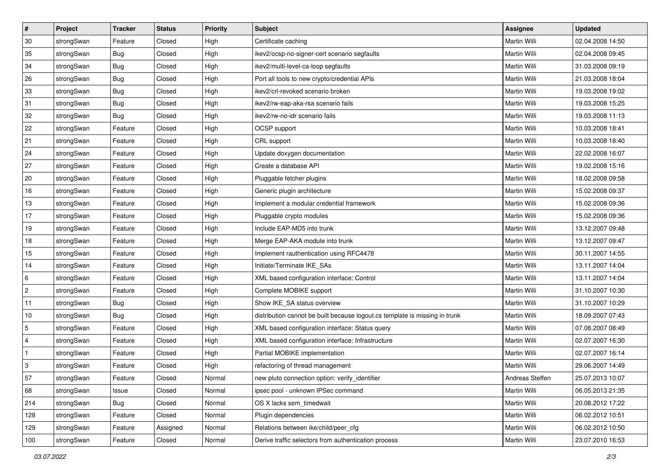| #              | Project    | <b>Tracker</b> | <b>Status</b> | <b>Priority</b> | <b>Subject</b>                                                              | Assignee            | <b>Updated</b>   |
|----------------|------------|----------------|---------------|-----------------|-----------------------------------------------------------------------------|---------------------|------------------|
| 30             | strongSwan | Feature        | Closed        | High            | Certificate caching                                                         | Martin Willi        | 02.04.2008 14:50 |
| 35             | strongSwan | <b>Bug</b>     | Closed        | High            | ikev2/ocsp-no-signer-cert scenario segfaults                                | Martin Willi        | 02.04.2008 09:45 |
| 34             | strongSwan | Bug            | Closed        | High            | ikev2/multi-level-ca-loop segfaults                                         | Martin Willi        | 31.03.2008 09:19 |
| 26             | strongSwan | Bug            | Closed        | High            | Port all tools to new crypto/credential APIs                                | <b>Martin Willi</b> | 21.03.2008 18:04 |
| 33             | strongSwan | Bug            | Closed        | High            | ikev2/crl-revoked scenario broken                                           | <b>Martin Willi</b> | 19.03.2008 19:02 |
| 31             | strongSwan | Bug            | Closed        | High            | ikev2/rw-eap-aka-rsa scenario fails                                         | Martin Willi        | 19.03.2008 15:25 |
| 32             | strongSwan | <b>Bug</b>     | Closed        | High            | ikev2/rw-no-idr scenario fails                                              | Martin Willi        | 19.03.2008 11:13 |
| 22             | strongSwan | Feature        | Closed        | High            | OCSP support                                                                | Martin Willi        | 10.03.2008 18:41 |
| 21             | strongSwan | Feature        | Closed        | High            | CRL support                                                                 | Martin Willi        | 10.03.2008 18:40 |
| 24             | strongSwan | Feature        | Closed        | High            | Update doxygen documentation                                                | <b>Martin Willi</b> | 22.02.2008 16:07 |
| 27             | strongSwan | Feature        | Closed        | High            | Create a database API                                                       | Martin Willi        | 19.02.2008 15:16 |
| 20             | strongSwan | Feature        | Closed        | High            | Pluggable fetcher plugins                                                   | Martin Willi        | 18.02.2008 09:58 |
| 16             | strongSwan | Feature        | Closed        | High            | Generic plugin architecture                                                 | <b>Martin Willi</b> | 15.02.2008 09:37 |
| 13             | strongSwan | Feature        | Closed        | High            | Implement a modular credential framework                                    | Martin Willi        | 15.02.2008 09:36 |
| 17             | strongSwan | Feature        | Closed        | High            | Pluggable crypto modules                                                    | <b>Martin Willi</b> | 15.02.2008 09:36 |
| 19             | strongSwan | Feature        | Closed        | High            | Include EAP-MD5 into trunk                                                  | Martin Willi        | 13.12.2007 09:48 |
| 18             | strongSwan | Feature        | Closed        | High            | Merge EAP-AKA module into trunk                                             | Martin Willi        | 13.12.2007 09:47 |
| 15             | strongSwan | Feature        | Closed        | High            | Implement rauthentication using RFC4478                                     | Martin Willi        | 30.11.2007 14:55 |
| 14             | strongSwan | Feature        | Closed        | High            | Initiate/Terminate IKE_SAs                                                  | Martin Willi        | 13.11.2007 14:04 |
| 6              | strongSwan | Feature        | Closed        | High            | XML based configuration interface: Control                                  | Martin Willi        | 13.11.2007 14:04 |
| $\overline{2}$ | strongSwan | Feature        | Closed        | High            | Complete MOBIKE support                                                     | Martin Willi        | 31.10.2007 10:30 |
| 11             | strongSwan | <b>Bug</b>     | Closed        | High            | Show IKE_SA status overview                                                 | Martin Willi        | 31.10.2007 10:29 |
| 10             | strongSwan | Bug            | Closed        | High            | distribution cannot be built because logout.cs template is missing in trunk | Martin Willi        | 18.09.2007 07:43 |
| 5              | strongSwan | Feature        | Closed        | High            | XML based configuration interface: Status query                             | Martin Willi        | 07.08.2007 08:49 |
| $\overline{4}$ | strongSwan | Feature        | Closed        | High            | XML based configuration interface: Infrastructure                           | Martin Willi        | 02.07.2007 16:30 |
| $\vert$ 1      | strongSwan | Feature        | Closed        | High            | Partial MOBIKE implementation                                               | <b>Martin Willi</b> | 02.07.2007 16:14 |
| 3              | strongSwan | Feature        | Closed        | High            | refactoring of thread management                                            | Martin Willi        | 29.06.2007 14:49 |
| 57             | strongSwan | Feature        | Closed        | Normal          | new pluto connection option: verify_identifier                              | Andreas Steffen     | 25.07.2013 10:07 |
| 68             | strongSwan | Issue          | Closed        | Normal          | ipsec pool - unknown IPSec command                                          | Martin Willi        | 06.05.2013 21:35 |
| 214            | strongSwan | Bug            | Closed        | Normal          | OS X lacks sem_timedwait                                                    | Martin Willi        | 20.08.2012 17:22 |
| 128            | strongSwan | Feature        | Closed        | Normal          | Plugin dependencies                                                         | Martin Willi        | 06.02.2012 10:51 |
| 129            | strongSwan | Feature        | Assigned      | Normal          | Relations between ike/child/peer cfg                                        | Martin Willi        | 06.02.2012 10:50 |
| 100            | strongSwan | Feature        | Closed        | Normal          | Derive traffic selectors from authentication process                        | <b>Martin Willi</b> | 23.07.2010 16:53 |